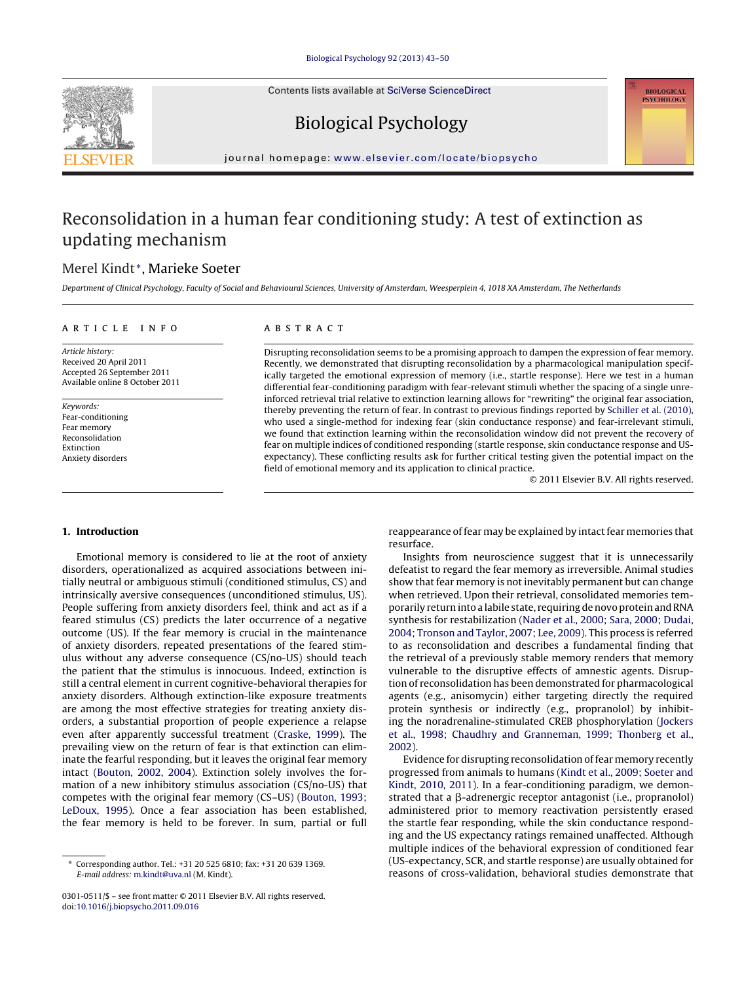Contents lists available at [SciVerse ScienceDirect](http://www.sciencedirect.com/science/journal/03010511)





# Biological Psychology

journal homepage: [www.elsevier.com/locate/biopsycho](http://www.elsevier.com/locate/biopsycho)

## Reconsolidation in a human fear conditioning study: A test of extinction as updating mechanism

## Merel Kindt <sup>∗</sup>, Marieke Soeter

Department of Clinical Psychology, Faculty of Social and Behavioural Sciences, University of Amsterdam, Weesperplein 4, 1018 XA Amsterdam, The Netherlands

## article info

Article history: Received 20 April 2011 Accepted 26 September 2011 Available online 8 October 2011

Keywords: Fear-conditioning Fear memory Reconsolidation Extinction Anxiety disorders

## **ABSTRACT**

Disrupting reconsolidation seems to be a promising approach to dampen the expression of fear memory. Recently, we demonstrated that disrupting reconsolidation by a pharmacological manipulation specifically targeted the emotional expression of memory (i.e., startle response). Here we test in a human differential fear-conditioning paradigm with fear-relevant stimuli whether the spacing of a single unreinforced retrieval trial relative to extinction learning allows for "rewriting" the original fear association, thereby preventing the return of fear. In contrast to previous findings reported by [Schiller et al. \(2010\),](#page--1-0) who used a single-method for indexing fear (skin conductance response) and fear-irrelevant stimuli, we found that extinction learning within the reconsolidation window did not prevent the recovery of fear on multiple indices of conditioned responding (startle response, skin conductance response and USexpectancy). These conflicting results ask for further critical testing given the potential impact on the field of emotional memory and its application to clinical practice.

© 2011 Elsevier B.V. All rights reserved.

### **1. Introduction**

Emotional memory is considered to lie at the root of anxiety disorders, operationalized as acquired associations between initially neutral or ambiguous stimuli (conditioned stimulus, CS) and intrinsically aversive consequences (unconditioned stimulus, US). People suffering from anxiety disorders feel, think and act as if a feared stimulus (CS) predicts the later occurrence of a negative outcome (US). If the fear memory is crucial in the maintenance of anxiety disorders, repeated presentations of the feared stimulus without any adverse consequence (CS/no-US) should teach the patient that the stimulus is innocuous. Indeed, extinction is still a central element in current cognitive-behavioral therapies for anxiety disorders. Although extinction-like exposure treatments are among the most effective strategies for treating anxiety disorders, a substantial proportion of people experience a relapse even after apparently successful treatment ([Craske, 1999\).](#page--1-0) The prevailing view on the return of fear is that extinction can eliminate the fearful responding, but it leaves the original fear memory intact ([Bouton, 2002, 2004\).](#page--1-0) Extinction solely involves the formation of a new inhibitory stimulus association (CS/no-US) that competes with the original fear memory (CS–US) ([Bouton, 1993;](#page--1-0) [LeDoux, 1995\).](#page--1-0) Once a fear association has been established, the fear memory is held to be forever. In sum, partial or full

reappearance of fear may be explained by intact fear memories that resurface.

Insights from neuroscience suggest that it is unnecessarily defeatist to regard the fear memory as irreversible. Animal studies show that fear memory is not inevitably permanent but can change when retrieved. Upon their retrieval, consolidated memories temporarily return into a labile state, requiring de novo protein and RNA synthesis for restabilization ([Nader et al., 2000; Sara, 2000; Dudai,](#page--1-0) [2004; Tronson and Taylor, 2007; Lee, 2009\).](#page--1-0) This process is referred to as reconsolidation and describes a fundamental finding that the retrieval of a previously stable memory renders that memory vulnerable to the disruptive effects of amnestic agents. Disruption of reconsolidation has been demonstrated for pharmacological agents (e.g., anisomycin) either targeting directly the required protein synthesis or indirectly (e.g., propranolol) by inhibiting the noradrenaline-stimulated CREB phosphorylation [\(Jockers](#page--1-0) [et al., 1998; Chaudhry and Granneman, 1999; Thonberg et al.,](#page--1-0) [2002\).](#page--1-0)

Evidence for disrupting reconsolidation of fear memory recently progressed from animals to humans [\(Kindt et al., 2009; Soeter and](#page--1-0) [Kindt, 2010, 2011\).](#page--1-0) In a fear-conditioning paradigm, we demonstrated that a  $\beta$ -adrenergic receptor antagonist (i.e., propranolol) administered prior to memory reactivation persistently erased the startle fear responding, while the skin conductance responding and the US expectancy ratings remained unaffected. Although multiple indices of the behavioral expression of conditioned fear (US-expectancy, SCR, and startle response) are usually obtained for reasons of cross-validation, behavioral studies demonstrate that

<sup>∗</sup> Corresponding author. Tel.: +31 20 525 6810; fax: +31 20 639 1369. E-mail address: [m.kindt@uva.nl](mailto:m.kindt@uva.nl) (M. Kindt).

<sup>0301-0511/\$ –</sup> see front matter © 2011 Elsevier B.V. All rights reserved. doi:[10.1016/j.biopsycho.2011.09.016](dx.doi.org/10.1016/j.biopsycho.2011.09.016)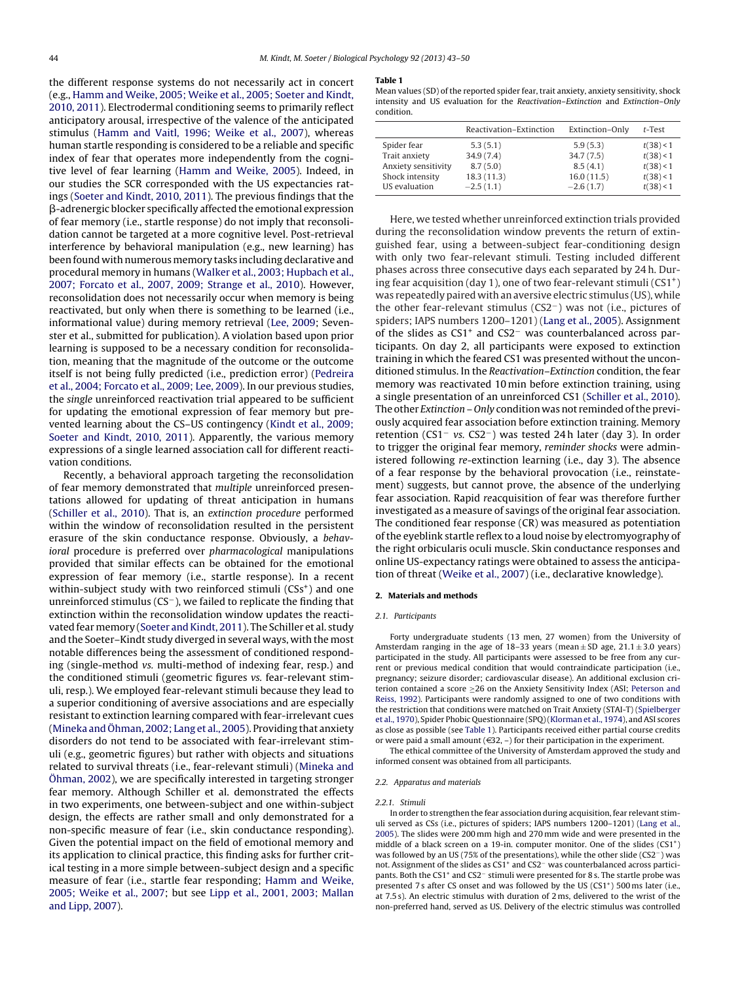the different response systems do not necessarily act in concert (e.g., [Hamm and Weike, 2005; Weike et al., 2005; Soeter and Kindt,](#page--1-0) [2010, 2011\).](#page--1-0) Electrodermal conditioning seems to primarily reflect anticipatory arousal, irrespective of the valence of the anticipated stimulus ([Hamm and Vaitl, 1996; Weike et al., 2007\),](#page--1-0) whereas human startle responding is considered to be a reliable and specific index of fear that operates more independently from the cognitive level of fear learning [\(Hamm and Weike, 2005\).](#page--1-0) Indeed, in our studies the SCR corresponded with the US expectancies ratings ([Soeter and Kindt, 2010, 2011\).](#page--1-0) The previous findings that the --adrenergic blocker specifically affected the emotional expression of fear memory (i.e., startle response) do not imply that reconsolidation cannot be targeted at a more cognitive level. Post-retrieval interference by behavioral manipulation (e.g., new learning) has been found with numerous memory tasks including declarative and procedural memory in humans [\(Walker et al., 2003; Hupbach et al.,](#page--1-0) [2007; Forcato et al., 2007, 2009; Strange et al., 2010\).](#page--1-0) However, reconsolidation does not necessarily occur when memory is being reactivated, but only when there is something to be learned (i.e., informational value) during memory retrieval [\(Lee, 2009;](#page--1-0) Sevenster et al., submitted for publication). A violation based upon prior learning is supposed to be a necessary condition for reconsolidation, meaning that the magnitude of the outcome or the outcome itself is not being fully predicted (i.e., prediction error) ([Pedreira](#page--1-0) [et al., 2004; Forcato et al., 2009; Lee, 2009\).](#page--1-0) In our previous studies, the single unreinforced reactivation trial appeared to be sufficient for updating the emotional expression of fear memory but prevented learning about the CS–US contingency [\(Kindt et al., 2009;](#page--1-0) [Soeter and Kindt, 2010, 2011\).](#page--1-0) Apparently, the various memory expressions of a single learned association call for different reactivation conditions.

Recently, a behavioral approach targeting the reconsolidation of fear memory demonstrated that multiple unreinforced presentations allowed for updating of threat anticipation in humans ([Schiller et al., 2010\).](#page--1-0) That is, an extinction procedure performed within the window of reconsolidation resulted in the persistent erasure of the skin conductance response. Obviously, a behavioral procedure is preferred over pharmacological manipulations provided that similar effects can be obtained for the emotional expression of fear memory (i.e., startle response). In a recent within-subject study with two reinforced stimuli  $(CSS<sup>+</sup>)$  and one unreinforced stimulus (CS−), we failed to replicate the finding that extinction within the reconsolidation window updates the reactivated fear memory [\(Soeter and Kindt, 2011\).](#page--1-0) The Schiller et al. study and the Soeter–Kindt study diverged in several ways, with the most notable differences being the assessment of conditioned responding (single-method vs. multi-method of indexing fear, resp.) and the conditioned stimuli (geometric figures vs. fear-relevant stimuli, resp.). We employed fear-relevant stimuli because they lead to a superior conditioning of aversive associations and are especially resistant to extinction learning compared with fear-irrelevant cues ([Mineka and Öhman, 2002; Lang et al., 2005\).](#page--1-0) Providing that anxiety disorders do not tend to be associated with fear-irrelevant stimuli (e.g., geometric figures) but rather with objects and situations related to survival threats (i.e., fear-relevant stimuli) [\(Mineka and](#page--1-0) [Öhman, 2002\),](#page--1-0) we are specifically interested in targeting stronger fear memory. Although Schiller et al. demonstrated the effects in two experiments, one between-subject and one within-subject design, the effects are rather small and only demonstrated for a non-specific measure of fear (i.e., skin conductance responding). Given the potential impact on the field of emotional memory and its application to clinical practice, this finding asks for further critical testing in a more simple between-subject design and a specific measure of fear (i.e., startle fear responding; [Hamm and Weike,](#page--1-0) [2005; Weike et al., 2007;](#page--1-0) but see [Lipp et al., 2001, 2003; Mallan](#page--1-0) [and Lipp, 2007\).](#page--1-0)

#### **Table 1**

Mean values (SD) of the reported spider fear, trait anxiety, anxiety sensitivity, shock intensity and US evaluation for the Reactivation–Extinction and Extinction–Only condition.

|                     | Reactivation-Extinction | Extinction-Only | t-Test    |
|---------------------|-------------------------|-----------------|-----------|
| Spider fear         | 5.3(5.1)                | 5.9(5.3)        | t(38) < 1 |
| Trait anxiety       | 34.9(7.4)               | 34.7(7.5)       | t(38) < 1 |
| Anxiety sensitivity | 8.7(5.0)                | 8.5(4.1)        | t(38) < 1 |
| Shock intensity     | 18.3(11.3)              | 16.0(11.5)      | t(38) < 1 |
| US evaluation       | $-2.5(1.1)$             | $-2.6(1.7)$     | t(38) < 1 |

Here, we tested whether unreinforced extinction trials provided during the reconsolidation window prevents the return of extinguished fear, using a between-subject fear-conditioning design with only two fear-relevant stimuli. Testing included different phases across three consecutive days each separated by 24 h. During fear acquisition (day 1), one of two fear-relevant stimuli ( $CS1<sup>+</sup>$ ) was repeatedly paired with an aversive electric stimulus (US), while the other fear-relevant stimulus (CS2−) was not (i.e., pictures of spiders; IAPS numbers 1200–1201) ([Lang et al., 2005\).](#page--1-0) Assignment of the slides as CS1<sup>+</sup> and CS2<sup>−</sup> was counterbalanced across participants. On day 2, all participants were exposed to extinction training in which the feared CS1 was presented without the unconditioned stimulus. In the Reactivation–Extinction condition, the fear memory was reactivated 10 min before extinction training, using a single presentation of an unreinforced CS1 ([Schiller et al., 2010\).](#page--1-0) The other Extinction – Only condition was not reminded of the previously acquired fear association before extinction training. Memory retention (CS1− vs. CS2−) was tested 24 h later (day 3). In order to trigger the original fear memory, reminder shocks were administered following re-extinction learning (i.e., day 3). The absence of a fear response by the behavioral provocation (i.e., reinstatement) suggests, but cannot prove, the absence of the underlying fear association. Rapid reacquisition of fear was therefore further investigated as a measure of savings of the original fear association. The conditioned fear response (CR) was measured as potentiation of the eyeblink startle reflex to a loud noise by electromyography of the right orbicularis oculi muscle. Skin conductance responses and online US-expectancy ratings were obtained to assess the anticipation of threat ([Weike et al., 2007\) \(](#page--1-0)i.e., declarative knowledge).

#### **2. Materials and methods**

#### 2.1. Participants

Forty undergraduate students (13 men, 27 women) from the University of Amsterdam ranging in the age of 18–33 years (mean  $\pm$  SD age, 21.1  $\pm$  3.0 years) participated in the study. All participants were assessed to be free from any current or previous medical condition that would contraindicate participation (i.e., pregnancy; seizure disorder; cardiovascular disease). An additional exclusion cri-terion contained a score ≥26 on the Anxiety Sensitivity Index (ASI; [Peterson and](#page--1-0) [Reiss, 1992\).](#page--1-0) Participants were randomly assigned to one of two conditions with the restriction that conditions were matched on Trait Anxiety (STAI-T) [\(Spielberger](#page--1-0) [et al., 1970\),](#page--1-0) Spider Phobic Questionnaire (SPQ) ([Klorman et al., 1974\),](#page--1-0) and ASI scores as close as possible (see Table 1). Participants received either partial course credits or were paid a small amount ( $\in 32$ ,  $-$ ) for their participation in the experiment.

The ethical committee of the University of Amsterdam approved the study and informed consent was obtained from all participants.

#### 2.2. Apparatus and materials

#### 2.2.1. Stimuli

In order to strengthen the fear association during acquisition, fear relevant stimuli served as CSs (i.e., pictures of spiders; IAPS numbers 1200–1201) ([Lang et al.,](#page--1-0) [2005\).](#page--1-0) The slides were 200 mm high and 270 mm wide and were presented in the middle of a black screen on a 19-in. computer monitor. One of the slides (CS1+) was followed by an US (75% of the presentations), while the other slide (CS2−) was not. Assignment of the slides as CS1<sup>+</sup> and CS2<sup>−</sup> was counterbalanced across participants. Both the CS1<sup>+</sup> and CS2<sup>−</sup> stimuli were presented for 8 s. The startle probe was presented 7s after CS onset and was followed by the US (CS1<sup>+</sup>) 500 ms later (i.e., at 7.5 s). An electric stimulus with duration of 2 ms, delivered to the wrist of the non-preferred hand, served as US. Delivery of the electric stimulus was controlled